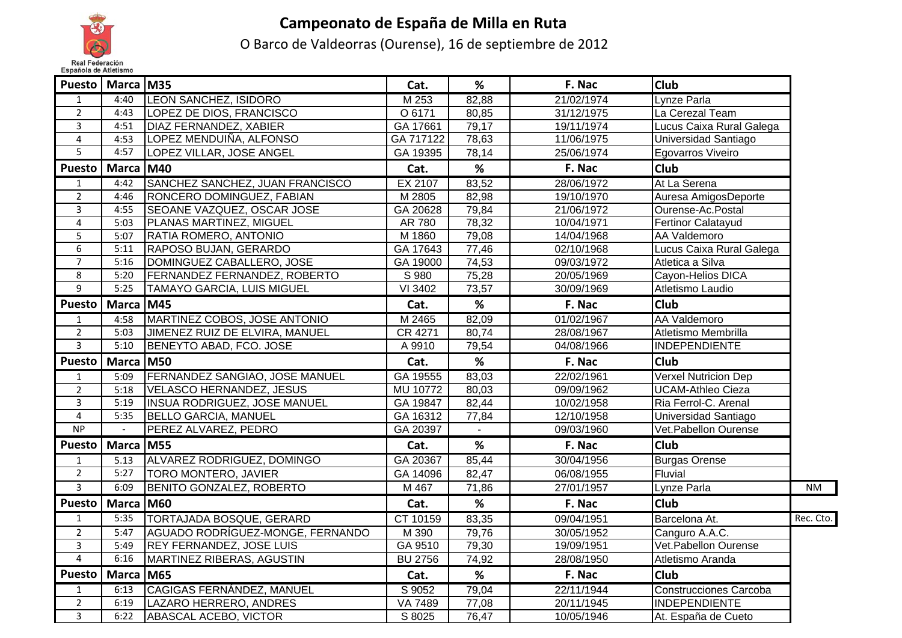

## **Campeonato de España de Milla en Ruta**

O Barco de Valdeorras (Ourense), 16 de septiembre de 2012

| Puesto                  | Marca M35    |                                       | Cat.           | %              | F. Nac     | <b>Club</b>                   |           |
|-------------------------|--------------|---------------------------------------|----------------|----------------|------------|-------------------------------|-----------|
| $\mathbf{1}$            | 4:40         | <b>LEON SANCHEZ, ISIDORO</b>          | M 253          | 82,88          | 21/02/1974 | Lynze Parla                   |           |
| $\overline{2}$          | 4:43         | LOPEZ DE DIOS, FRANCISCO              | O 6171         | 80,85          | 31/12/1975 | La Cerezal Team               |           |
| $\overline{3}$          | 4:51         | DIAZ FERNANDEZ, XABIER                | GA 17661       | 79,17          | 19/11/1974 | Lucus Caixa Rural Galega      |           |
| 4                       | 4:53         | LOPEZ MENDUIÑA, ALFONSO               | GA 717122      | 78,63          | 11/06/1975 | Universidad Santiago          |           |
| 5                       | 4:57         | LOPEZ VILLAR, JOSE ANGEL              | GA 19395       | 78,14          | 25/06/1974 | Egovarros Viveiro             |           |
| <b>Puesto</b>           | <b>Marca</b> | <b>M40</b>                            | Cat.           | %              | F. Nac     | <b>Club</b>                   |           |
| $\mathbf{1}$            | 4:42         | SANCHEZ SANCHEZ, JUAN FRANCISCO       | EX 2107        | 83,52          | 28/06/1972 | At La Serena                  |           |
| $\overline{2}$          | 4:46         | RONCERO DOMINGUEZ, FABIAN             | M 2805         | 82,98          | 19/10/1970 | Auresa AmigosDeporte          |           |
| $\mathbf{3}$            | 4:55         | SEOANE VAZQUEZ, OSCAR JOSE            | GA 20628       | 79,84          | 21/06/1972 | Ourense-Ac.Postal             |           |
| $\overline{4}$          | 5:03         | PLANAS MARTINEZ, MIGUEL               | AR 780         | 78,32          | 10/04/1971 | <b>Fertinor Calatayud</b>     |           |
| $\overline{5}$          | 5:07         | RATIA ROMERO, ANTONIO                 | M 1860         | 79,08          | 14/04/1968 | AA Valdemoro                  |           |
| 6                       | 5:11         | RAPOSO BUJAN, GERARDO                 | GA 17643       | 77,46          | 02/10/1968 | Lucus Caixa Rural Galega      |           |
| $\overline{7}$          | 5:16         | DOMINGUEZ CABALLERO, JOSE             | GA 19000       | 74,53          | 09/03/1972 | Atletica a Silva              |           |
| 8                       | 5:20         | <b>FERNANDEZ FERNANDEZ, ROBERTO</b>   | S 980          | 75,28          | 20/05/1969 | Cayon-Helios DICA             |           |
| $\overline{9}$          | 5:25         | <b>TAMAYO GARCIA, LUIS MIGUEL</b>     | VI 3402        | 73,57          | 30/09/1969 | Atletismo Laudio              |           |
| <b>Puesto</b>           | <b>Marca</b> | <b>M45</b>                            | Cat.           | %              | F. Nac     | Club                          |           |
| $\mathbf{1}$            | 4:58         | MARTINEZ COBOS, JOSE ANTONIO          | M 2465         | 82,09          | 01/02/1967 | <b>AA Valdemoro</b>           |           |
| $\overline{2}$          | 5:03         | JIMENEZ RUIZ DE ELVIRA, MANUEL        | CR 4271        | 80,74          | 28/08/1967 | Atletismo Membrilla           |           |
| $\overline{3}$          | 5:10         | BENEYTO ABAD, FCO. JOSE               | A 9910         | 79,54          | 04/08/1966 | <b>INDEPENDIENTE</b>          |           |
| <b>Puesto</b>           | Marca M50    |                                       | Cat.           | %              | F. Nac     | <b>Club</b>                   |           |
| $\mathbf{1}$            | 5:09         | <b>FERNANDEZ SANGIAO, JOSE MANUEL</b> | GA 19555       | 83,03          | 22/02/1961 | <b>Verxel Nutricion Dep</b>   |           |
| $\overline{2}$          | 5:18         | <b>VELASCO HERNANDEZ, JESUS</b>       | MU 10772       | 80,03          | 09/09/1962 | <b>UCAM-Athleo Cieza</b>      |           |
| $\overline{3}$          | 5:19         | <b>INSUA RODRIGUEZ, JOSE MANUEL</b>   | GA 19847       | 82,44          | 10/02/1958 | Ria Ferrol-C. Arenal          |           |
| $\overline{4}$          | 5:35         | <b>BELLO GARCIA, MANUEL</b>           | GA 16312       | 77,84          | 12/10/1958 | Universidad Santiago          |           |
| NP                      |              | PEREZ ALVAREZ, PEDRO                  | GA 20397       | $\blacksquare$ | 09/03/1960 | Vet. Pabellon Ourense         |           |
| <b>Puesto</b>           | Marca M55    |                                       | Cat.           | %              | F. Nac     | <b>Club</b>                   |           |
| $\mathbf{1}$            | 5.13         | ALVAREZ RODRIGUEZ, DOMINGO            | GA 20367       | 85,44          | 30/04/1956 | <b>Burgas Orense</b>          |           |
| $\overline{2}$          | 5:27         | <b>TORO MONTERO, JAVIER</b>           | GA 14096       | 82,47          | 06/08/1955 | Fluvial                       |           |
| $\overline{\mathbf{3}}$ | 6:09         | <b>BENITO GONZALEZ, ROBERTO</b>       | M 467          | 71,86          | 27/01/1957 | Lynze Parla                   | <b>NM</b> |
| <b>Puesto</b>           | <b>Marca</b> | <b>M60</b>                            | Cat.           | %              | F. Nac     | <b>Club</b>                   |           |
| $\mathbf{1}$            | 5:35         | <b>TORTAJADA BOSQUE, GERARD</b>       | CT 10159       | 83,35          | 09/04/1951 | Barcelona At.                 | Rec. Cto. |
| $\overline{2}$          | 5:47         | AGUADO RODRÍGUEZ-MONGE, FERNANDO      | M 390          | 79,76          | 30/05/1952 | Canguro A.A.C.                |           |
| $\mathbf{3}$            | 5:49         | REY FERNANDEZ, JOSE LUIS              | GA 9510        | 79,30          | 19/09/1951 | Vet.Pabellon Ourense          |           |
| $\overline{4}$          | 6:16         | MARTINEZ RIBERAS, AGUSTIN             | <b>BU 2756</b> | 74,92          | 28/08/1950 | Atletismo Aranda              |           |
| <b>Puesto</b>           | Marca M65    |                                       | Cat.           | %              | F. Nac     | <b>Club</b>                   |           |
| $\mathbf{1}$            | 6:13         | <b>CAGIGAS FERNÁNDEZ, MANUEL</b>      | S 9052         | 79,04          | 22/11/1944 | <b>Construcciones Carcoba</b> |           |
| $\overline{2}$          | 6:19         | LAZARO HERRERO, ANDRES                | VA 7489        | 77,08          | 20/11/1945 | <b>INDEPENDIENTE</b>          |           |
| $\overline{3}$          | 6:22         | ABASCAL ACEBO, VICTOR                 | S 8025         | 76,47          | 10/05/1946 | At. España de Cueto           |           |